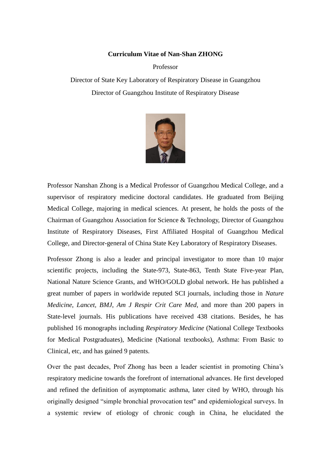#### **Curriculum Vitae of Nan-Shan ZHONG**

Professor

Director of State Key Laboratory of Respiratory Disease in Guangzhou Director of Guangzhou Institute of Respiratory Disease



Professor Nanshan Zhong is a Medical Professor of Guangzhou Medical College, and a supervisor of respiratory medicine doctoral candidates. He graduated from Beijing Medical College, majoring in medical sciences. At present, he holds the posts of the Chairman of Guangzhou Association for Science & Technology, Director of Guangzhou Institute of Respiratory Diseases, First Affiliated Hospital of Guangzhou Medical College, and Director-general of China State Key Laboratory of Respiratory Diseases.

Professor Zhong is also a leader and principal investigator to more than 10 major scientific projects, including the State-973, State-863, Tenth State Five-year Plan, National Nature Science Grants, and WHO/GOLD global network. He has published a great number of papers in worldwide reputed SCI journals, including those in *Nature Medicine*, *Lancet, BMJ*, *Am J Respir Crit Care Med*, and more than 200 papers in State-level journals. His publications have received 438 citations. Besides, he has published 16 monographs including *Respiratory Medicine* (National College Textbooks for Medical Postgraduates), Medicine (National textbooks), Asthma: From Basic to Clinical, etc, and has gained 9 patents.

Over the past decades, Prof Zhong has been a leader scientist in promoting China's respiratory medicine towards the forefront of international advances. He first developed and refined the definition of asymptomatic asthma, later cited by WHO, through his originally designed "simple bronchial provocation test" and epidemiological surveys. In a systemic review of etiology of chronic cough in China, he elucidated the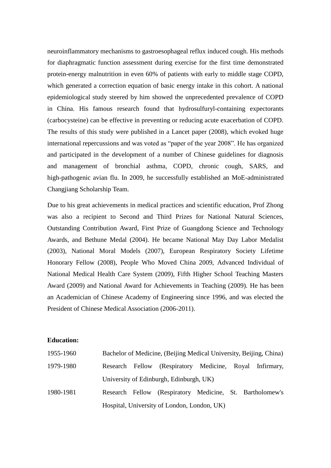neuroinflammatory mechanisms to gastroesophageal reflux induced cough. His methods for diaphragmatic function assessment during exercise for the first time demonstrated protein-energy malnutrition in even 60% of patients with early to middle stage COPD, which generated a correction equation of basic energy intake in this cohort. A national epidemiological study steered by him showed the unprecedented prevalence of COPD in China. His famous research found that hydrosulfuryl-containing expectorants (carbocysteine) can be effective in preventing or reducing acute exacerbation of COPD. The results of this study were published in a Lancet paper (2008), which evoked huge international repercussions and was voted as "paper of the year 2008". He has organized and participated in the development of a number of Chinese guidelines for diagnosis and management of bronchial asthma, COPD, chronic cough, SARS, and high-pathogenic avian flu. In 2009, he successfully established an MoE-administrated Changjiang Scholarship Team.

Due to his great achievements in medical practices and scientific education, Prof Zhong was also a recipient to Second and Third Prizes for National Natural Sciences, Outstanding Contribution Award, First Prize of Guangdong Science and Technology Awards, and Bethune Medal (2004). He became National May Day Labor Medalist (2003), National Moral Models (2007), European Respiratory Society Lifetime Honorary Fellow (2008), People Who Moved China 2009, Advanced Individual of National Medical Health Care System (2009), Fifth Higher School Teaching Masters Award (2009) and National Award for Achievements in Teaching (2009). He has been an Academician of Chinese Academy of Engineering since 1996, and was elected the President of Chinese Medical Association (2006-2011).

#### **Education:**

| 1955-1960 | Bachelor of Medicine, (Beijing Medical University, Beijing, China) |  |                                                          |  |  |  |
|-----------|--------------------------------------------------------------------|--|----------------------------------------------------------|--|--|--|
| 1979-1980 |                                                                    |  | Research Fellow (Respiratory Medicine, Royal Infirmary,  |  |  |  |
|           |                                                                    |  | University of Edinburgh, Edinburgh, UK)                  |  |  |  |
| 1980-1981 |                                                                    |  | Research Fellow (Respiratory Medicine, St. Bartholomew's |  |  |  |
|           | Hospital, University of London, London, UK)                        |  |                                                          |  |  |  |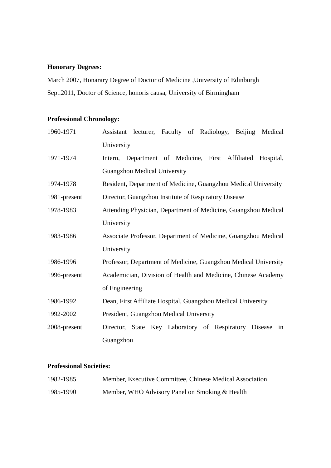# **Honorary Degrees:**

March 2007, Honarary Degree of Doctor of Medicine ,University of Edinburgh Sept.2011, Doctor of Science, honoris causa, University of Birmingham

# **Professional Chronology:**

| 1960-1971    | Assistant lecturer, Faculty of Radiology, Beijing Medical       |  |  |  |  |
|--------------|-----------------------------------------------------------------|--|--|--|--|
|              | University                                                      |  |  |  |  |
| 1971-1974    | Department of Medicine, First Affiliated Hospital,<br>Intern,   |  |  |  |  |
|              | Guangzhou Medical University                                    |  |  |  |  |
| 1974-1978    | Resident, Department of Medicine, Guangzhou Medical University  |  |  |  |  |
| 1981-present | Director, Guangzhou Institute of Respiratory Disease            |  |  |  |  |
| 1978-1983    | Attending Physician, Department of Medicine, Guangzhou Medical  |  |  |  |  |
|              | University                                                      |  |  |  |  |
| 1983-1986    | Associate Professor, Department of Medicine, Guangzhou Medical  |  |  |  |  |
|              | University                                                      |  |  |  |  |
| 1986-1996    | Professor, Department of Medicine, Guangzhou Medical University |  |  |  |  |
| 1996-present | Academician, Division of Health and Medicine, Chinese Academy   |  |  |  |  |
|              | of Engineering                                                  |  |  |  |  |
| 1986-1992    | Dean, First Affiliate Hospital, Guangzhou Medical University    |  |  |  |  |
| 1992-2002    | President, Guangzhou Medical University                         |  |  |  |  |
| 2008-present | Director, State Key Laboratory of Respiratory Disease<br>in     |  |  |  |  |
|              | Guangzhou                                                       |  |  |  |  |

## **Professional Societies:**

| 1982-1985 | Member, Executive Committee, Chinese Medical Association |
|-----------|----------------------------------------------------------|
| 1985-1990 | Member, WHO Advisory Panel on Smoking & Health           |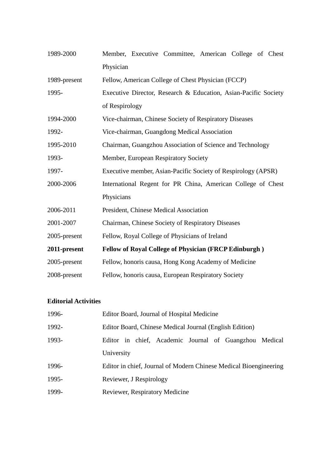| 1989-2000    | Member, Executive Committee, American College of Chest          |  |  |  |  |
|--------------|-----------------------------------------------------------------|--|--|--|--|
|              | Physician                                                       |  |  |  |  |
| 1989-present | Fellow, American College of Chest Physician (FCCP)              |  |  |  |  |
| 1995-        | Executive Director, Research & Education, Asian-Pacific Society |  |  |  |  |
|              | of Respirology                                                  |  |  |  |  |
| 1994-2000    | Vice-chairman, Chinese Society of Respiratory Diseases          |  |  |  |  |
| 1992-        | Vice-chairman, Guangdong Medical Association                    |  |  |  |  |
| 1995-2010    | Chairman, Guangzhou Association of Science and Technology       |  |  |  |  |
| 1993-        | Member, European Respiratory Society                            |  |  |  |  |
| 1997-        | Executive member, Asian-Pacific Society of Respirology (APSR)   |  |  |  |  |
| 2000-2006    | International Regent for PR China, American College of Chest    |  |  |  |  |
|              | Physicians                                                      |  |  |  |  |
| 2006-2011    | President, Chinese Medical Association                          |  |  |  |  |
| 2001-2007    | Chairman, Chinese Society of Respiratory Diseases               |  |  |  |  |
| 2005-present | Fellow, Royal College of Physicians of Ireland                  |  |  |  |  |
| 2011-present | <b>Fellow of Royal College of Physician (FRCP Edinburgh)</b>    |  |  |  |  |
| 2005-present | Fellow, honoris causa, Hong Kong Academy of Medicine            |  |  |  |  |
| 2008-present | Fellow, honoris causa, European Respiratory Society             |  |  |  |  |

# **Editorial Activities**

| 1996- | Editor Board, Journal of Hospital Medicine                        |  |  |  |  |
|-------|-------------------------------------------------------------------|--|--|--|--|
| 1992- | Editor Board, Chinese Medical Journal (English Edition)           |  |  |  |  |
| 1993- | Editor in chief, Academic Journal of Guangzhou Medical            |  |  |  |  |
|       | University                                                        |  |  |  |  |
| 1996- | Editor in chief, Journal of Modern Chinese Medical Bioengineering |  |  |  |  |
| 1995- | Reviewer, J Respirology                                           |  |  |  |  |
| 1999- | <b>Reviewer, Respiratory Medicine</b>                             |  |  |  |  |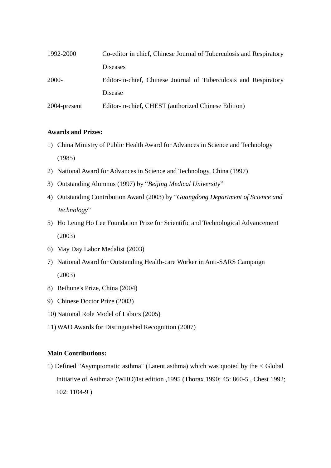| 1992-2000    | Co-editor in chief, Chinese Journal of Tuberculosis and Respiratory |  |  |
|--------------|---------------------------------------------------------------------|--|--|
|              | <b>Diseases</b>                                                     |  |  |
| 2000-        | Editor-in-chief, Chinese Journal of Tuberculosis and Respiratory    |  |  |
|              | Disease                                                             |  |  |
| 2004-present | Editor-in-chief, CHEST (authorized Chinese Edition)                 |  |  |

### **Awards and Prizes:**

- 1) China Ministry of Public Health Award for Advances in Science and Technology (1985)
- 2) National Award for Advances in Science and Technology, China (1997)
- 3) Outstanding Alumnus (1997) by "*Beijing Medical University*"
- 4) Outstanding Contribution Award (2003) by "*Guangdong Department of Science and Technology*"
- 5) Ho Leung Ho Lee Foundation Prize for Scientific and Technological Advancement (2003)
- 6) May Day Labor Medalist (2003)
- 7) National Award for Outstanding Health-care Worker in Anti-SARS Campaign (2003)
- 8) Bethune's Prize, China (2004)
- 9) Chinese Doctor Prize (2003)
- 10) National Role Model of Labors (2005)
- 11) WAO Awards for Distinguished Recognition (2007)

### **Main Contributions:**

1) Defined "Asymptomatic asthma" (Latent asthma) which was quoted by the < Global Initiative of Asthma> (WHO)1st edition ,1995 (Thorax 1990; 45: 860-5 , Chest 1992; 102: 1104-9 )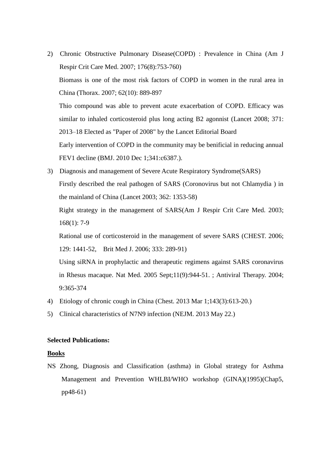- 2) Chronic Obstructive Pulmonary Disease(COPD) : Prevalence in China (Am J Respir Crit Care Med. 2007; 176(8):753-760) Biomass is one of the most risk factors of COPD in women in the rural area in China (Thorax. 2007; 62(10): 889-897 Thio compound was able to prevent acute exacerbation of COPD. Efficacy was similar to inhaled corticosteroid plus long acting B2 agonnist (Lancet 2008; 371: 2013–18 Elected as "Paper of 2008" by the Lancet Editorial Board Early intervention of COPD in the community may be benificial in reducing annual FEV1 decline (BMJ. 2010 Dec 1;341:c6387.).
- 3) Diagnosis and management of Severe Acute Respiratory Syndrome(SARS) Firstly described the real pathogen of SARS (Coronovirus but not Chlamydia ) in the mainland of China (Lancet 2003; 362: 1353-58) Right strategy in the management of SARS(Am J Respir Crit Care Med. 2003; 168(1): 7-9

Rational use of corticosteroid in the management of severe SARS (CHEST. 2006; 129: 1441-52, Brit Med J. 2006; 333: 289-91)

Using siRNA in prophylactic and therapeutic regimens against SARS coronavirus in Rhesus macaque. Nat Med. 2005 Sept;11(9):944-51. ; Antiviral Therapy. 2004; 9:365-374

- 4) Etiology of chronic cough in China (Chest. 2013 Mar 1;143(3):613-20.)
- 5) Clinical characteristics of N7N9 infection (NEJM. 2013 May 22.)

#### **Selected Publications:**

#### **Books**

NS Zhong, Diagnosis and Classification (asthma) in Global strategy for Asthma Management and Prevention WHLBI/WHO workshop (GINA)(1995)(Chap5, pp48-61)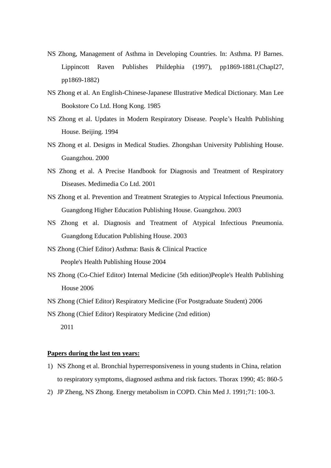- NS Zhong, Management of Asthma in Developing Countries. In: Asthma. PJ Barnes. Lippincott Raven Publishes Phildephia (1997), pp1869-1881.(Chapl27, pp1869-1882)
- NS Zhong et al. An English-Chinese-Japanese Illustrative Medical Dictionary. Man Lee Bookstore Co Ltd. Hong Kong. 1985
- NS Zhong et al. Updates in Modern Respiratory Disease. People's Health Publishing House. Beijing. 1994
- NS Zhong et al. Designs in Medical Studies. Zhongshan University Publishing House. Guangzhou. 2000
- NS Zhong et al. A Precise Handbook for Diagnosis and Treatment of Respiratory Diseases. Medimedia Co Ltd. 2001
- NS Zhong et al. Prevention and Treatment Strategies to Atypical Infectious Pneumonia. Guangdong Higher Education Publishing House. Guangzhou. 2003
- NS Zhong et al. Diagnosis and Treatment of Atypical Infectious Pneumonia. Guangdong Education Publishing House. 2003
- NS Zhong (Chief Editor) Asthma: Basis & Clinical Practice People's Health Publishing House 2004
- NS Zhong (Co-Chief Editor) Internal Medicine (5th edition)People's Health Publishing House 2006
- NS Zhong (Chief Editor) Respiratory Medicine (For Postgraduate Student) 2006

NS Zhong (Chief Editor) Respiratory Medicine (2nd edition) 2011

#### **Papers during the last ten years:**

- 1) NS Zhong et al. Bronchial hyperresponsiveness in young students in China, relation to respiratory symptoms, diagnosed asthma and risk factors. Thorax 1990; 45: 860-5
- 2) JP Zheng, NS Zhong. Energy metabolism in COPD. Chin Med J. 1991;71: 100-3.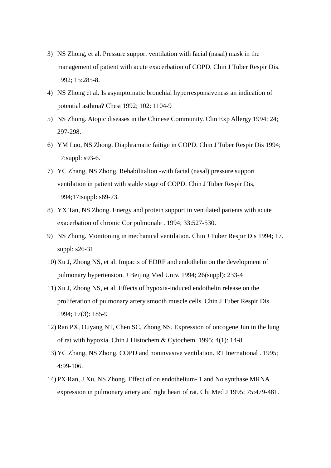- 3) NS Zhong, et al. Pressure support ventilation with facial (nasal) mask in the management of patient with acute exacerbation of COPD. Chin J Tuber Respir Dis. 1992; 15:285-8.
- 4) NS Zhong et al. Is asymptomatic bronchial hyperresponsiveness an indication of potential asthma? Chest 1992; 102: 1104-9
- 5) NS Zhong. Atopic diseases in the Chinese Community. Clin Exp Allergy 1994; 24; 297-298.
- 6) YM Luo, NS Zhong. Diaphramatic faitige in COPD. Chin J Tuber Respir Dis 1994; 17:suppl: s93-6.
- 7) YC Zhang, NS Zhong. Rehabilitalion -with facial (nasal) pressure support ventilation in patient with stable stage of COPD. Chin J Tuber Respir Dis, 1994;17:suppl: s69-73.
- 8) YX Tan, NS Zhong. Energy and protein support in ventilated patients with acute exacerbation of chronic Cor pulmonale . 1994; 33:527-530.
- 9) NS Zhong. Monitoning in mechanical ventilation. Chin J Tuber Respir Dis 1994; 17. suppl: s26-31
- 10) Xu J, Zhong NS, et al. Impacts of EDRF and endothelin on the development of pulmonary hypertension. J Beijing Med Univ. 1994; 26(suppl): 233-4
- 11) Xu J, Zhong NS, et al. Effects of hypoxia-induced endothelin release on the proliferation of pulmonary artery smooth muscle cells. Chin J Tuber Respir Dis. 1994; 17(3): 185-9
- 12)Ran PX, Ouyang NT, Chen SC, Zhong NS. Expression of oncogene Jun in the lung of rat with hypoxia. Chin J Histochem & Cytochem. 1995; 4(1): 14-8
- 13) YC Zhang, NS Zhong. COPD and noninvasive ventilation. RT Inernational . 1995; 4:99-106.
- 14) PX Ran, J Xu, NS Zhong. Effect of on endothelium- 1 and No synthase MRNA expression in pulmonary artery and right heart of rat. Chi Med J 1995; 75:479-481.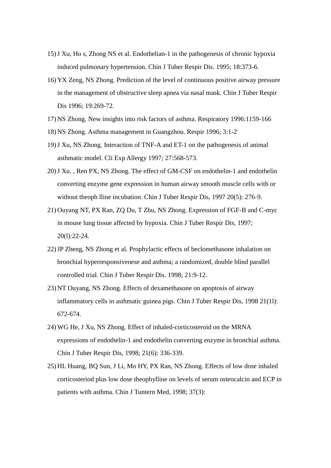- 15)J Xu, Ho s, Zhong NS et al. Endothelian-1 in the pathogenesis of chronic hypoxia induced pulmonary hypertension. Chin J Tuber Respir Dis. 1995; 18:373-6.
- 16) YX Zeng, NS Zhong. Prediction of the level of continuous positive airway pressure in the management of obstructive sleep apnea via nasal mask. Chin J Tuber Respir Dis 1996; 19:269-72.
- 17) NS Zhong. New insights into risk factors of asthma. Respiratory 1996:1159-166
- 18) NS Zhong. Asthma management in Guangzhou. Respir 1996; 3:1-2
- 19)J Xu, NS Zhong. Interaction of TNF-A and ET-1 on the pathogenesis of animal asthmatic model. Cli Exp Allergy 1997; 27:568-573.
- 20)J Xu. , Ren PX, NS Zhong. The effect of GM-CSF on endothelin-1 and endothelin converting enzyme gene expression in human airway smooth muscle cells with or without theoph lline incubation. Chin J Tuber Respir Dis, 1997 20(5): 276-9.
- 21) Ouyang NT, PX Ran, ZQ Du, T Zhu, NS Zhong. Expression of FGF-B and C-myc in mouse lung tissue affected by hypoxia. Chin J Tuber Respir Dis, 1997; 20(l):22-24.
- 22)JP Zheng, NS Zhong et al. Prophylactic effects of beclomethasone inhalation on bronchial hyperresponsivenese and asthma; a randomized, double blind parallel controlled trial. Chin J Tuber Respir Dis. 1998; 21:9-12.
- 23) NT Ouyang, NS Zhong. Effects of dexamethasone on apoptosis of airway inflammatory cells in asthmatic guinea pigs. Chin J Tuber Respir Dis, 1998 21(1l): 672-674.
- 24) WG He, J Xu, NS Zhong. Effect of inhaled-corticosteroid on the MRNA expressions of endothelin-1 and endothelin converting enzyme in bronchial asthma. Chin J Tuber Respir Dis, 1998; 21(6): 336-339.
- 25) HL Huang, BQ Sun, J Li, Mo HY, PX Ran, NS Zhong. Effects of low dose inhaled corticosteriod plus low dose theophylline on levels of serum osteocalcin and ECP in patients with asthma. Chin J Tuntern Med, 1998; 37(3):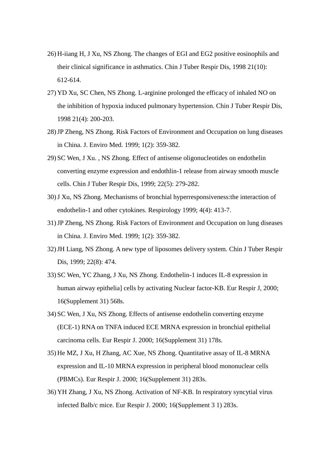- 26) H-iiang H, J Xu, NS Zhong. The changes of EGI and EG2 positive eosinophils and their clinical significance in asthmatics. Chin J Tuber Respir Dis, 1998 21(10): 612-614.
- 27) YD Xu, SC Chen, NS Zhong. L-arginine prolonged the efficacy of inhaled NO on the inhibition of hypoxia induced pulmonary hypertension. Chin J Tuber Respir Dis, 1998 21(4): 200-203.
- 28)JP Zheng, NS Zhong. Risk Factors of Environment and Occupation on lung diseases in China. J. Enviro Med. 1999; 1(2): 359-382.
- 29) SC Wen, J Xu. , NS Zhong. Effect of antisense oligonucleotides on endothelin converting enzyme expression and endothlin-1 release from airway smooth muscle cells. Chin J Tuber Respir Dis, 1999; 22(5): 279-282.
- 30)J Xu, NS Zhong. Mechanisms of bronchial hyperresponsiveness:the interaction of endothelin-1 and other cytokines. Respirology 1999; 4(4): 413-7.
- 31)JP Zheng, NS Zhong. Risk Factors of Environment and Occupation on lung diseases in China. J. Enviro Med. 1999; 1(2): 359-382.
- 32)JH Liang, NS Zhong. A new type of liposomes delivery system. Chin J Tuber Respir Dis, 1999; 22(8): 474.
- 33) SC Wen, YC Zhang, J Xu, NS Zhong. Endothelin-1 induces IL-8 expression in human airway epithelia] cells by activating Nuclear factor-KB. Eur Respir J, 2000; 16(Supplement 31) 568s.
- 34) SC Wen, J Xu, NS Zhong. Effects of antisense endothelin converting enzyme (ECE-1) RNA on TNFA induced ECE MRNA expression in bronchial epithelial carcinoma cells. Eur Respir J. 2000; 16(Supplement 31) 178s.
- 35) He MZ, J Xu, H Zhang, AC Xue, NS Zhong. Quantitative assay of IL-8 MRNA expression and IL-10 MRNA expression in peripheral blood mononuclear cells (PBMCs). Eur Respir J. 2000; 16(Supplement 31) 283s.
- 36) YH Zhang, J Xu, NS Zhong. Activation of NF-KB. In respiratory syncytial virus infected Balb/c mice. Eur Respir J. 2000; 16(Supplement 3 1) 283s.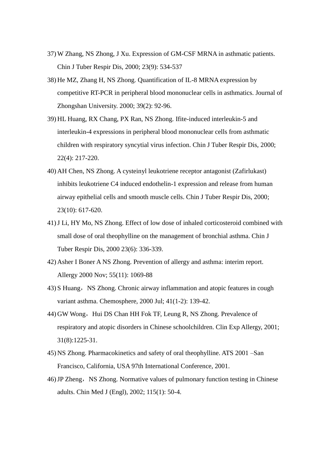- 37) W Zhang, NS Zhong, J Xu. Expression of GM-CSF MRNA in asthmatic patients. Chin J Tuber Respir Dis, 2000; 23(9): 534-537
- 38) He MZ, Zhang H, NS Zhong. Quantification of IL-8 MRNA expression by competitive RT-PCR in peripheral blood mononuclear cells in asthmatics. Journal of Zhongshan University. 2000; 39(2): 92-96.
- 39) HL Huang, RX Chang, PX Ran, NS Zhong. Ifite-induced interleukin-5 and interleukin-4 expressions in peripheral blood mononuclear cells from asthmatic children with respiratory syncytial virus infection. Chin J Tuber Respir Dis, 2000; 22(4): 217-220.
- 40) AH Chen, NS Zhong. A cysteinyl leukotriene receptor antagonist (Zafirlukast) inhibits leukotriene C4 induced endothelin-1 expression and release from human airway epithelial cells and smooth muscle cells. Chin J Tuber Respir Dis, 2000; 23(10): 617-620.
- 41)J Li, HY Mo, NS Zhong. Effect of low dose of inhaled corticosteroid combined with small dose of oral theophylline on the management of bronchial asthma. Chin J Tuber Respir Dis, 2000 23(6): 336-339.
- 42) Asher I Boner A NS Zhong. Prevention of allergy and asthma: interim report. Allergy 2000 Nov; 55(11): 1069-88
- 43) S Huang, NS Zhong. Chronic airway inflammation and atopic features in cough variant asthma. Chemosphere, 2000 Jul; 41(1-2): 139-42.
- 44) GW Wong, Hui DS Chan HH Fok TF, Leung R, NS Zhong. Prevalence of respiratory and atopic disorders in Chinese schoolchildren. Clin Exp Allergy, 2001; 31(8):1225-31.
- 45) NS Zhong. Pharmacokinetics and safety of oral theophylline. ATS 2001 –San Francisco, California, USA 97th International Conference, 2001.
- 46) JP Zheng, NS Zhong. Normative values of pulmonary function testing in Chinese adults. Chin Med J (Engl), 2002; 115(1): 50-4.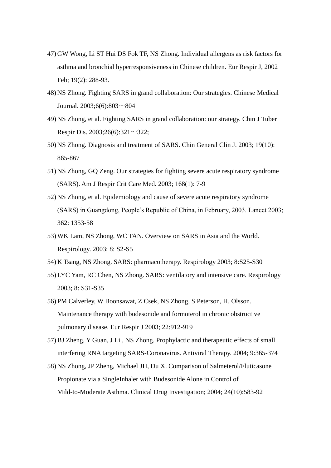- 47) GW Wong, Li ST Hui DS Fok TF, NS Zhong. Individual allergens as risk factors for asthma and bronchial hyperresponsiveness in Chinese children. Eur Respir J, 2002 Feb; 19(2): 288-93.
- 48) NS Zhong. Fighting SARS in grand collaboration: Our strategies. Chinese Medical Journal. 2003;6(6):803~804
- 49) NS Zhong, et al. Fighting SARS in grand collaboration: our strategy. Chin J Tuber Respir Dis. 2003;26(6):321 $\sim$ 322;
- 50) NS Zhong. Diagnosis and treatment of SARS. Chin General Clin J. 2003; 19(10): 865-867
- 51) NS Zhong, GQ Zeng. Our strategies for fighting severe acute respiratory syndrome (SARS). Am J Respir Crit Care Med. 2003; 168(1): 7-9
- 52) NS Zhong, et al. Epidemiology and cause of severe acute respiratory syndrome (SARS) in Guangdong, People's Republic of China, in February, 2003. Lancet 2003; 362: 1353-58
- 53) WK Lam, NS Zhong, WC TAN. Overview on SARS in Asia and the World. Respirology. 2003; 8: S2-S5
- 54) K Tsang, NS Zhong. SARS: pharmacotherapy. Respirology 2003; 8:S25-S30
- 55) LYC Yam, RC Chen, NS Zhong. SARS: ventilatory and intensive care. Respirology 2003; 8: S31-S35
- 56) PM Calverley, W Boonsawat, Z Csek, NS Zhong, S Peterson, H. Olsson. Maintenance therapy with budesonide and formoterol in chronic obstructive pulmonary disease. Eur Respir J 2003; 22:912-919
- 57)BJ Zheng, Y Guan, J Li , NS Zhong. Prophylactic and therapeutic effects of small interfering RNA targeting SARS-Coronavirus. Antiviral Therapy. 2004; 9:365-374
- 58) NS Zhong, JP Zheng, Michael JH, Du X. Comparison of Salmeterol/Fluticasone Propionate via a SingleInhaler with Budesonide Alone in Control of Mild-to-Moderate Asthma. Clinical Drug Investigation; 2004; 24(10):583-92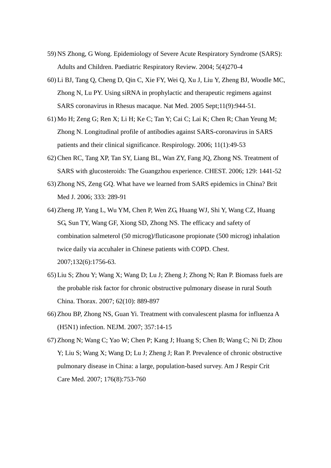- 59) NS Zhong, G Wong. Epidemiology of Severe Acute Respiratory Syndrome (SARS): Adults and Children. Paediatric Respiratory Review. 2004; 5(4)270-4
- 60) Li BJ, Tang Q, Cheng D, Qin C, Xie FY, Wei Q, Xu J, Liu Y, Zheng BJ, Woodle MC, Zhong N, Lu PY. Using siRNA in prophylactic and therapeutic regimens against SARS coronavirus in Rhesus macaque. Nat Med. 2005 Sept;11(9):944-51.
- 61) Mo H; Zeng G; Ren X; Li H; Ke C; Tan Y; Cai C; Lai K; Chen R; Chan Yeung M; Zhong N. Longitudinal profile of antibodies against SARS-coronavirus in SARS patients and their clinical significance. Respirology. 2006; 11(1):49-53
- 62)Chen RC, Tang XP, Tan SY, Liang BL, Wan ZY, Fang JQ, Zhong NS. Treatment of SARS with glucosteroids: The Guangzhou experience. CHEST. 2006; 129: 1441-52
- 63) Zhong NS, Zeng GQ. What have we learned from SARS epidemics in China? Brit Med J. 2006; 333: 289-91
- 64) Zheng JP, Yang L, Wu YM, Chen P, Wen ZG, Huang WJ, Shi Y, Wang CZ, Huang SG, Sun TY, Wang GF, Xiong SD, Zhong NS. The efficacy and safety of combination salmeterol (50 microg)/fluticasone propionate (500 microg) inhalation twice daily via accuhaler in Chinese patients with COPD. Chest. 2007;132(6):1756-63.
- 65) Liu S; Zhou Y; Wang X; Wang D; Lu J; Zheng J; Zhong N; Ran P. Biomass fuels are the probable risk factor for chronic obstructive pulmonary disease in rural South China. Thorax. 2007; 62(10): 889-897
- 66) Zhou BP, Zhong NS, Guan Yi. Treatment with convalescent plasma for influenza A (H5N1) infection. NEJM. 2007; 357:14-15
- 67) Zhong N; Wang C; Yao W; Chen P; Kang J; Huang S; Chen B; Wang C; Ni D; Zhou Y; Liu S; Wang X; Wang D; Lu J; Zheng J; Ran P. Prevalence of chronic obstructive pulmonary disease in China: a large, population-based survey. Am J Respir Crit Care Med. 2007; 176(8):753-760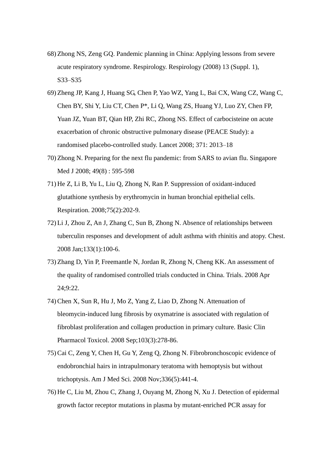- 68) Zhong NS, Zeng GQ. Pandemic planning in China: Applying lessons from severe acute respiratory syndrome. Respirology. Respirology (2008) 13 (Suppl. 1), S33–S35
- 69) Zheng JP, Kang J, Huang SG, Chen P, Yao WZ, Yang L, Bai CX, Wang CZ, Wang C, Chen BY, Shi Y, Liu CT, Chen P\*, Li Q, Wang ZS, Huang YJ, Luo ZY, Chen FP, Yuan JZ, Yuan BT, Qian HP, Zhi RC, Zhong NS. Effect of carbocisteine on acute exacerbation of chronic obstructive pulmonary disease (PEACE Study): a randomised placebo-controlled study. Lancet 2008; 371: 2013–18
- 70) Zhong N. Preparing for the next flu pandemic: from SARS to avian flu. Singapore Med J 2008; 49(8) : 595-598
- 71) He Z, Li B, Yu L, Liu Q, Zhong N, Ran P. Suppression of oxidant-induced glutathione synthesis by erythromycin in human bronchial epithelial cells. Respiration. 2008;75(2):202-9.
- 72) Li J, Zhou Z, An J, Zhang C, Sun B, Zhong N. Absence of relationships between tuberculin responses and development of adult asthma with rhinitis and atopy. Chest. 2008 Jan;133(1):100-6.
- 73) Zhang D, Yin P, Freemantle N, Jordan R, Zhong N, Cheng KK. An assessment of the quality of randomised controlled trials conducted in China. Trials. 2008 Apr 24;9:22.
- 74)Chen X, Sun R, Hu J, Mo Z, Yang Z, Liao D, Zhong N. Attenuation of bleomycin-induced lung fibrosis by oxymatrine is associated with regulation of fibroblast proliferation and collagen production in primary culture. Basic Clin Pharmacol Toxicol. 2008 Sep;103(3):278-86.
- 75)Cai C, Zeng Y, Chen H, Gu Y, Zeng Q, Zhong N. Fibrobronchoscopic evidence of endobronchial hairs in intrapulmonary teratoma with hemoptysis but without trichoptysis. Am J Med Sci. 2008 Nov;336(5):441-4.
- 76) He C, Liu M, Zhou C, Zhang J, Ouyang M, Zhong N, Xu J. Detection of epidermal growth factor receptor mutations in plasma by mutant-enriched PCR assay for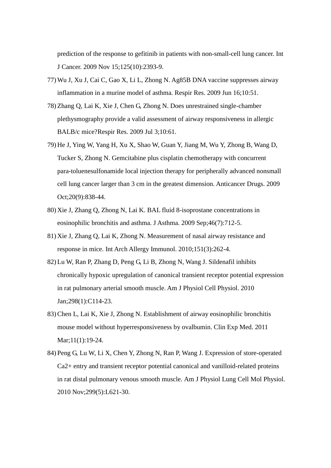prediction of the response to gefitinib in patients with non-small-cell lung cancer. Int J Cancer. 2009 Nov 15;125(10):2393-9.

- 77) Wu J, Xu J, Cai C, Gao X, Li L, Zhong N. Ag85B DNA vaccine suppresses airway inflammation in a murine model of asthma. Respir Res. 2009 Jun 16;10:51.
- 78) Zhang Q, Lai K, Xie J, Chen G, Zhong N. Does unrestrained single-chamber plethysmography provide a valid assessment of airway responsiveness in allergic BALB/c mice?Respir Res. 2009 Jul 3;10:61.
- 79) He J, Ying W, Yang H, Xu X, Shao W, Guan Y, Jiang M, Wu Y, Zhong B, Wang D, Tucker S, Zhong N. Gemcitabine plus cisplatin chemotherapy with concurrent para-toluenesulfonamide local injection therapy for peripherally advanced nonsmall cell lung cancer larger than 3 cm in the greatest dimension. Anticancer Drugs. 2009 Oct;20(9):838-44.
- 80) Xie J, Zhang Q, Zhong N, Lai K. BAL fluid 8-isoprostane concentrations in eosinophilic bronchitis and asthma. J Asthma. 2009 Sep;46(7):712-5.
- 81) Xie J, Zhang Q, Lai K, Zhong N. Measurement of nasal airway resistance and response in mice. Int Arch Allergy Immunol. 2010;151(3):262-4.
- 82) Lu W, Ran P, Zhang D, Peng G, Li B, Zhong N, Wang J. Sildenafil inhibits chronically hypoxic upregulation of canonical transient receptor potential expression in rat pulmonary arterial smooth muscle. Am J Physiol Cell Physiol. 2010 Jan;298(1):C114-23.
- 83)Chen L, Lai K, Xie J, Zhong N. Establishment of airway eosinophilic bronchitis mouse model without hyperresponsiveness by ovalbumin. Clin Exp Med. 2011 Mar;11(1):19-24.
- 84) Peng G, Lu W, Li X, Chen Y, Zhong N, Ran P, Wang J. Expression of store-operated Ca2+ entry and transient receptor potential canonical and vanilloid-related proteins in rat distal pulmonary venous smooth muscle. Am J Physiol Lung Cell Mol Physiol. 2010 Nov;299(5):L621-30.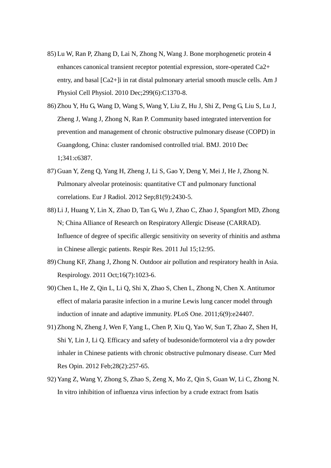- 85) Lu W, Ran P, Zhang D, Lai N, Zhong N, Wang J. Bone morphogenetic protein 4 enhances canonical transient receptor potential expression, store-operated Ca2+ entry, and basal [Ca2+]i in rat distal pulmonary arterial smooth muscle cells. Am J Physiol Cell Physiol. 2010 Dec;299(6):C1370-8.
- 86) Zhou Y, Hu G, Wang D, Wang S, Wang Y, Liu Z, Hu J, Shi Z, Peng G, Liu S, Lu J, Zheng J, Wang J, Zhong N, Ran P. Community based integrated intervention for prevention and management of chronic obstructive pulmonary disease (COPD) in Guangdong, China: cluster randomised controlled trial. BMJ. 2010 Dec 1;341:c6387.
- 87) Guan Y, Zeng Q, Yang H, Zheng J, Li S, Gao Y, Deng Y, Mei J, He J, Zhong N. Pulmonary alveolar proteinosis: quantitative CT and pulmonary functional correlations. Eur J Radiol. 2012 Sep;81(9):2430-5.
- 88) Li J, Huang Y, Lin X, Zhao D, Tan G, Wu J, Zhao C, Zhao J, Spangfort MD, Zhong N; China Alliance of Research on Respiratory Allergic Disease (CARRAD). Influence of degree of specific allergic sensitivity on severity of rhinitis and asthma in Chinese allergic patients. Respir Res. 2011 Jul 15;12:95.
- 89)Chung KF, Zhang J, Zhong N. Outdoor air pollution and respiratory health in Asia. Respirology. 2011 Oct;16(7):1023-6.
- 90)Chen L, He Z, Qin L, Li Q, Shi X, Zhao S, Chen L, Zhong N, Chen X. Antitumor effect of malaria parasite infection in a murine Lewis lung cancer model through induction of innate and adaptive immunity. PLoS One. 2011;6(9):e24407.
- 91) Zhong N, Zheng J, Wen F, Yang L, Chen P, Xiu Q, Yao W, Sun T, Zhao Z, Shen H, Shi Y, Lin J, Li Q. Efficacy and safety of budesonide/formoterol via a dry powder inhaler in Chinese patients with chronic obstructive pulmonary disease. Curr Med Res Opin. 2012 Feb;28(2):257-65.
- 92) Yang Z, Wang Y, Zhong S, Zhao S, Zeng X, Mo Z, Qin S, Guan W, Li C, Zhong N. In vitro inhibition of influenza virus infection by a crude extract from Isatis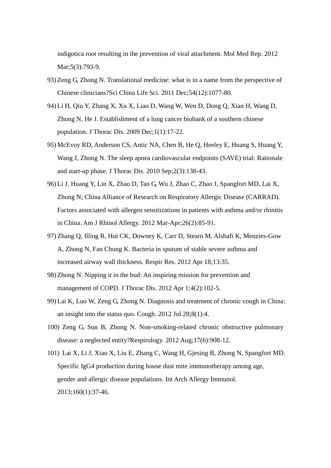indigotica root resulting in the prevention of viral attachment. Mol Med Rep. 2012 Mar;5(3):793-9.

- 93) Zeng G, Zhong N. Translational medicine: what is in a name from the perspective of Chinese clinicians?Sci China Life Sci. 2011 Dec;54(12):1077-80.
- 94) Li H, Qiu Y, Zhang X, Xu X, Liao D, Wang W, Wen D, Dong Q, Xian H, Wang D, Zhong N, He J. Establishment of a lung cancer biobank of a southern chinese population. J Thorac Dis. 2009 Dec;1(1):17-22.
- 95) McEvoy RD, Anderson CS, Antic NA, Chen B, He Q, Heeley E, Huang S, Huang Y, Wang J, Zhong N. The sleep apnea cardiovascular endpoints (SAVE) trial: Rationale and start-up phase. J Thorac Dis. 2010 Sep;2(3):138-43.
- 96) Li J, Huang Y, Lin X, Zhao D, Tan G, Wu J, Zhao C, Zhao J, Spangfort MD, Lai X, Zhong N; China Alliance of Research on Respiratory Allergic Disease (CARRAD). Factors associated with allergen sensitizations in patients with asthma and/or rhinitis in China. Am J Rhinol Allergy. 2012 Mar-Apr;26(2):85-91.
- 97) Zhang Q, Illing R, Hui CK, Downey K, Carr D, Stearn M, Alshafi K, Menzies-Gow A, Zhong N, Fan Chung K. Bacteria in sputum of stable severe asthma and increased airway wall thickness. Respir Res. 2012 Apr 18;13:35.
- 98) Zhong N. Nipping it in the bud: An inspiring mission for prevention and management of COPD. J Thorac Dis. 2012 Apr 1;4(2):102-5.
- 99) Lai K, Luo W, Zeng G, Zhong N. Diagnosis and treatment of chronic cough in China: an insight into the status quo. Cough. 2012 Jul 28;8(1):4.
- 100) Zeng G, Sun B, Zhong N. Non-smoking-related chronic obstructive pulmonary disease: a neglected entity?Respirology. 2012 Aug;17(6):908-12.
- 101) Lai X, Li J, Xiao X, Liu E, Zhang C, Wang H, Gjesing B, Zhong N, Spangfort MD. Specific IgG4 production during house dust mite immunotherapy among age, gender and allergic disease populations. Int Arch Allergy Immunol. 2013;160(1):37-46.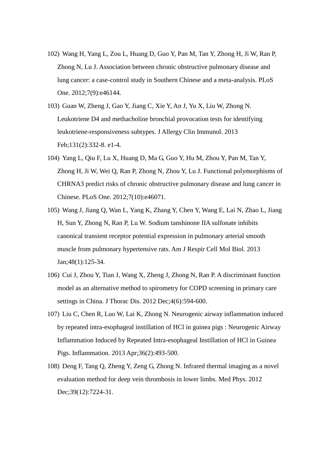- 102) Wang H, Yang L, Zou L, Huang D, Guo Y, Pan M, Tan Y, Zhong H, Ji W, Ran P, Zhong N, Lu J. Association between chronic obstructive pulmonary disease and lung cancer: a case-control study in Southern Chinese and a meta-analysis. PLoS One. 2012;7(9):e46144.
- 103) Guan W, Zheng J, Gao Y, Jiang C, Xie Y, An J, Yu X, Liu W, Zhong N. Leukotriene D4 and methacholine bronchial provocation tests for identifying leukotriene-responsiveness subtypes. J Allergy Clin Immunol. 2013 Feb;131(2):332-8. e1-4.
- 104) Yang L, Qiu F, Lu X, Huang D, Ma G, Guo Y, Hu M, Zhou Y, Pan M, Tan Y, Zhong H, Ji W, Wei Q, Ran P, Zhong N, Zhou Y, Lu J. Functional polymorphisms of CHRNA3 predict risks of chronic obstructive pulmonary disease and lung cancer in Chinese. PLoS One. 2012;7(10):e46071.
- 105) Wang J, Jiang Q, Wan L, Yang K, Zhang Y, Chen Y, Wang E, Lai N, Zhao L, Jiang H, Sun Y, Zhong N, Ran P, Lu W. Sodium tanshinone IIA sulfonate inhibits canonical transient receptor potential expression in pulmonary arterial smooth muscle from pulmonary hypertensive rats. Am J Respir Cell Mol Biol. 2013 Jan;48(1):125-34.
- 106) Cui J, Zhou Y, Tian J, Wang X, Zheng J, Zhong N, Ran P. A discriminant function model as an alternative method to spirometry for COPD screening in primary care settings in China. J Thorac Dis. 2012 Dec;4(6):594-600.
- 107) Liu C, Chen R, Luo W, Lai K, Zhong N. Neurogenic airway inflammation induced by repeated intra-esophageal instillation of HCl in guinea pigs : Neurogenic Airway Inflammation Induced by Repeated Intra-esophageal Instillation of HCl in Guinea Pigs. Inflammation. 2013 Apr;36(2):493-500.
- 108) Deng F, Tang Q, Zheng Y, Zeng G, Zhong N. Infrared thermal imaging as a novel evaluation method for deep vein thrombosis in lower limbs. Med Phys. 2012 Dec; 39(12): 7224-31.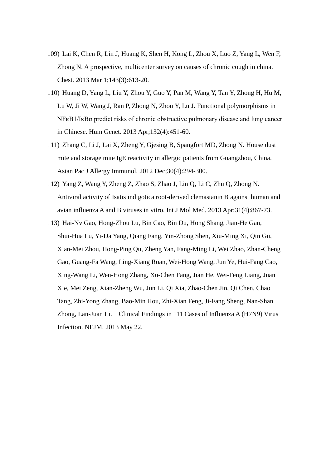- 109) Lai K, Chen R, Lin J, Huang K, Shen H, Kong L, Zhou X, Luo Z, Yang L, Wen F, Zhong N. A prospective, multicenter survey on causes of chronic cough in china. Chest. 2013 Mar 1;143(3):613-20.
- 110) Huang D, Yang L, Liu Y, Zhou Y, Guo Y, Pan M, Wang Y, Tan Y, Zhong H, Hu M, Lu W, Ji W, Wang J, Ran P, Zhong N, Zhou Y, Lu J. Functional polymorphisms in NFκB1/IκBα predict risks of chronic obstructive pulmonary disease and lung cancer in Chinese. Hum Genet. 2013 Apr;132(4):451-60.
- 111) Zhang C, Li J, Lai X, Zheng Y, Gjesing B, Spangfort MD, Zhong N. House dust mite and storage mite IgE reactivity in allergic patients from Guangzhou, China. Asian Pac J Allergy Immunol. 2012 Dec;30(4):294-300.
- 112) Yang Z, Wang Y, Zheng Z, Zhao S, Zhao J, Lin Q, Li C, Zhu Q, Zhong N. Antiviral activity of Isatis indigotica root-derived clemastanin B against human and avian influenza A and B viruses in vitro. Int J Mol Med. 2013 Apr;31(4):867-73.
- 113) Hai-Nv Gao, Hong-Zhou Lu, Bin Cao, Bin Du, Hong Shang, Jian-He Gan, Shui-Hua Lu, Yi-Da Yang, Qiang Fang, Yin-Zhong Shen, Xiu-Ming Xi, Qin Gu, Xian-Mei Zhou, Hong-Ping Qu, Zheng Yan, Fang-Ming Li, Wei Zhao, Zhan-Cheng Gao, Guang-Fa Wang, Ling-Xiang Ruan, Wei-Hong Wang, Jun Ye, Hui-Fang Cao, Xing-Wang Li, Wen-Hong Zhang, Xu-Chen Fang, Jian He, Wei-Feng Liang, Juan Xie, Mei Zeng, Xian-Zheng Wu, Jun Li, Qi Xia, Zhao-Chen Jin, Qi Chen, Chao Tang, Zhi-Yong Zhang, Bao-Min Hou, Zhi-Xian Feng, Ji-Fang Sheng, Nan-Shan Zhong, Lan-Juan Li. Clinical Findings in 111 Cases of Influenza A (H7N9) Virus Infection. NEJM. 2013 May 22.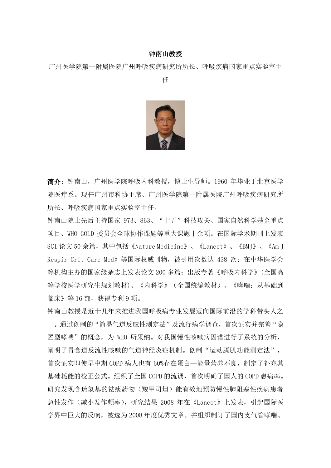## 钟南山教授

广州医学院第一附属医院广州呼吸疾病研究所所长、呼吸疾病国家重点实验室主

任



简介: 钟南山,广州医学院呼吸内科教授,博士生导师。1960 年毕业于北京医学 院医疗系。现任广州市科协主席、广州医学院第一附属医院广州呼吸疾病研究所 所长、呼吸疾病国家重点实验室主任。

钟南山院士先后主持国家 973、863、"十五"科技攻关、国家自然科学基金重点 项目、WHO GOLD 委员会全球协作课题等重大课题十余项。在国际学术期刊上发表 SCI 论文 50 余篇,其中包括《Nature Medicine》、《Lancet》、《BMJ》、《Am J Respir Crit Care Med》等国际权威刊物,被引用次数达 438 次;在中华医学会 等机构主办的国家级杂志上发表论文 200 多篇;出版专著《呼吸内科学》(全国高 等学校医学研究生规划教材)、《内科学》(全国统编教材)、《哮喘:从基础到 临床》等 16 部,获得专利 9 项。

钟南山教授是近十几年来推进我国呼吸病专业发展迈向国际前沿的学科带头人之 一。通过创制的"简易气道反应性测定法"及流行病学调查,首次证实并完善"隐 匿型哮喘"的概念,为 WHO 所采纳。对我国慢性咳嗽病因谱进行了系统的分析, 阐明了胃食道反流性咳嗽的气道神经炎症机制。创制"运动膈肌功能测定法", 首次证实即使早中期 COPD 病人也有 60%存在蛋白—能量营养不良,制定了补充其 基础耗能的校正公式。组织了全国 COPD 的流调,首次明确了国人的 COPD 患病率。 研究发现含琉氢基的祛痰药物(羧甲司坦)能有效地预防慢性肺阻塞性疾病患者 急性发作(减小发作频率),研究结果 2008 年在《Lancet》上发表,引起国际医 学界中巨大的反响,被选为 2008 年度优秀文章。并组织制订了国内支气管哮喘、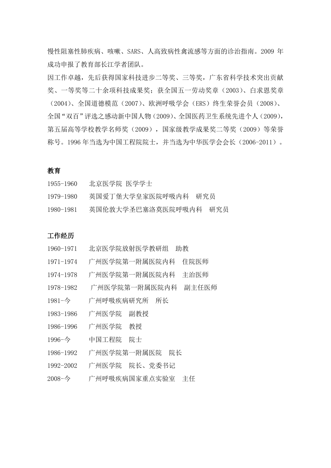慢性阻塞性肺疾病、咳嗽、SARS、人高致病性禽流感等方面的诊治指南。2009 年 成功申报了教育部长江学者团队。

因工作卓越,先后获得国家科技进步二等奖、三等奖,广东省科学技术突出贡献 奖、一等奖等二十余项科技成果奖;获全国五一劳动奖章(2003)、白求恩奖章 (2004)、全国道德模范(2007)、欧洲呼吸学会(ERS)终生荣誉会员(2008)、 全国"双百"评选之感动新中国人物(2009)、全国医药卫生系统先进个人(2009), 第五届高等学校教学名师奖(2009),国家级教学成果奖二等奖(2009)等荣誉 称号。1996 年当选为中国工程院院士,并当选为中华医学会会长(2006-2011)。

## 教育

| 1955–1960 | 北京医学院 医学学士             |     |
|-----------|------------------------|-----|
| 1979–1980 | 英国爱丁堡大学皇家医院呼吸内科<br>研究员 |     |
| 1980–1981 | 英国伦敦大学圣巴塞洛莫医院呼吸内科      | 研究员 |

## 工作经历

- 1960-1971 北京医学院放射医学教研组 助教
- 1971-1974 广州医学院第一附属医院内科 住院医师
- 1974-1978 广州医学院第一附属医院内科 主治医师
- 1978-1982 广州医学院第一附属医院内科 副主任医师
- 1981-今 广州呼吸疾病研究所 所长
- 1983-1986 广州医学院 副教授
- 1986-1996 广州医学院 教授
- 1996-今 中国工程院 院士
- 1986-1992 广州医学院第一附属医院 院长
- 1992-2002 广州医学院 院长、党委书记
- 2008-今 广州呼吸疾病国家重点实验室 主任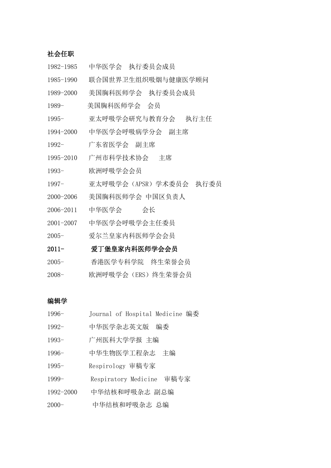## 社会任职

1982-1985 中华医学会 执行委员会成员 1985-1990 联合国世界卫生组织吸烟与健康医学顾问 1989-2000 美国胸科医师学会 执行委员会成员 1989- 美国胸科医师学会 会员 1995- 亚太呼吸学会研究与教育分会 执行主任 1994-2000 中华医学会呼吸病学分会 副主席 1992- 广东省医学会 副主席 1995-2010 广州市科学技术协会 主席 1993- 欧洲呼吸学会会员 1997- 亚太呼吸学会(APSR)学术委员会 执行委员 2000-2006 美国胸科医师学会 中国区负责人 2006-2011 中华医学会 会长 2001-2007 中华医学会呼吸学会主任委员 2005- 爱尔兰皇家内科医师学会会员 2011- 爱丁堡皇家内科医师学会会员 2005- 香港医学专科学院 终生荣誉会员 2008- 欧洲呼吸学会(ERS)终生荣誉会员

#### 编辑学

- 1996- Journal of Hospital Medicine 编委
- 1992- 中华医学杂志英文版 编委
- 1993- 广州医科大学学报 主编
- 1996- 中华生物医学工程杂志 主编
- 1995- Respirology 审稿专家
- 1999- Respiratory Medicine 审稿专家
- 1992-2000 中华结核和呼吸杂志 副总编
- 2000- 中华结核和呼吸杂志 总编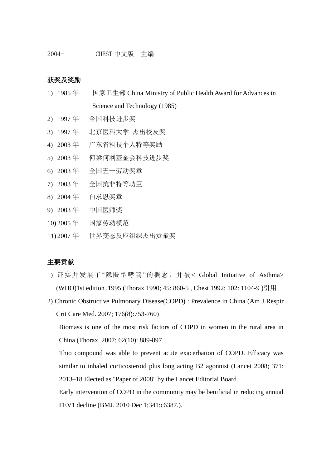#### 获奖及奖励

- 1) 1985 年 国家卫生部 China Ministry of Public Health Award for Advances in Science and Technology (1985)
- 2) 1997 年 全国科技进步奖
- 3) 1997 年 北京医科大学 杰出校友奖
- 4) 2003 年 广东省科技个人特等奖励
- 5) 2003 年 何梁何利基金会科技进步奖
- 6) 2003 年 全国五一劳动奖章
- 7) 2003 年 全国抗非特等功臣
- 8) 2004 年 白求恩奖章
- 9) 2003 年 中国医师奖
- 10) 2005 年 国家劳动模范
- 11) 2007 年 世界变态反应组织杰出贡献奖

#### 主要贡献

- 1) 证实并发展了"隐匿型哮喘"的概念,并被< Global Initiative of Asthma> (WHO)1st edition ,1995 (Thorax 1990; 45: 860-5 , Chest 1992; 102: 1104-9 )引用
- 2) Chronic Obstructive Pulmonary Disease(COPD) : Prevalence in China (Am J Respir Crit Care Med. 2007; 176(8):753-760)

Biomass is one of the most risk factors of COPD in women in the rural area in China (Thorax. 2007; 62(10): 889-897

Thio compound was able to prevent acute exacerbation of COPD. Efficacy was similar to inhaled corticosteroid plus long acting B2 agonnist (Lancet 2008; 371: 2013–18 Elected as "Paper of 2008" by the Lancet Editorial Board

Early intervention of COPD in the community may be benificial in reducing annual FEV1 decline (BMJ. 2010 Dec 1;341:c6387.).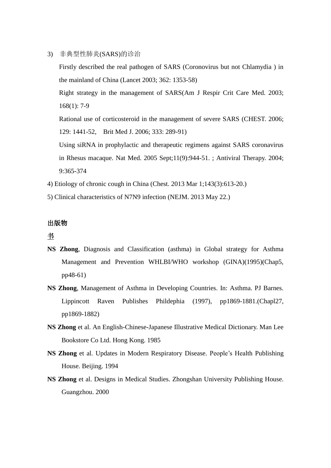- 3) 非典型性肺炎(SARS)的诊治
	- Firstly described the real pathogen of SARS (Coronovirus but not Chlamydia ) in the mainland of China (Lancet 2003; 362: 1353-58) Right strategy in the management of SARS(Am J Respir Crit Care Med. 2003; 168(1): 7-9 Rational use of corticosteroid in the management of severe SARS (CHEST. 2006; 129: 1441-52, Brit Med J. 2006; 333: 289-91) Using siRNA in prophylactic and therapeutic regimens against SARS coronavirus in Rhesus macaque. Nat Med. 2005 Sept;11(9):944-51. ; Antiviral Therapy. 2004; 9:365-374
- 4) Etiology of chronic cough in China (Chest. 2013 Mar 1;143(3):613-20.)
- 5) Clinical characteristics of N7N9 infection (NEJM. 2013 May 22.)

## 出版物

# 书

- **NS Zhong**, Diagnosis and Classification (asthma) in Global strategy for Asthma Management and Prevention WHLBI/WHO workshop (GINA)(1995)(Chap5, pp48-61)
- **NS Zhong**, Management of Asthma in Developing Countries. In: Asthma. PJ Barnes. Lippincott Raven Publishes Phildephia (1997), pp1869-1881.(Chapl27, pp1869-1882)
- **NS Zhong** et al. An English-Chinese-Japanese Illustrative Medical Dictionary. Man Lee Bookstore Co Ltd. Hong Kong. 1985
- **NS Zhong** et al. Updates in Modern Respiratory Disease. People's Health Publishing House. Beijing. 1994
- **NS Zhong** et al. Designs in Medical Studies. Zhongshan University Publishing House. Guangzhou. 2000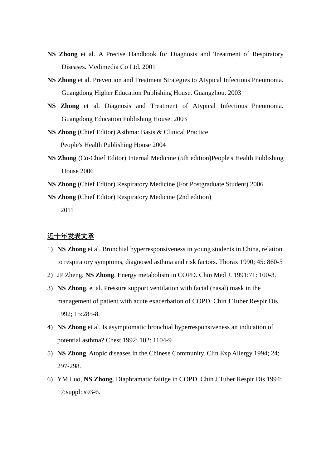- **NS Zhong** et al. A Precise Handbook for Diagnosis and Treatment of Respiratory Diseases. Medimedia Co Ltd. 2001
- **NS Zhong** et al. Prevention and Treatment Strategies to Atypical Infectious Pneumonia. Guangdong Higher Education Publishing House. Guangzhou. 2003
- **NS Zhong** et al. Diagnosis and Treatment of Atypical Infectious Pneumonia. Guangdong Education Publishing House. 2003
- **NS Zhong** (Chief Editor) Asthma: Basis & Clinical Practice People's Health Publishing House 2004
- **NS Zhong** (Co-Chief Editor) Internal Medicine (5th edition)People's Health Publishing House 2006
- **NS Zhong** (Chief Editor) Respiratory Medicine (For Postgraduate Student) 2006

**NS Zhong** (Chief Editor) Respiratory Medicine (2nd edition) 2011

## 近十年发表文章

- 1) **NS Zhong** et al. Bronchial hyperresponsiveness in young students in China, relation to respiratory symptoms, diagnosed asthma and risk factors. Thorax 1990; 45: 860-5
- 2) JP Zheng, **NS Zhong**. Energy metabolism in COPD. Chin Med J. 1991;71: 100-3.
- 3) **NS Zhong**, et al. Pressure support ventilation with facial (nasal) mask in the management of patient with acute exacerbation of COPD. Chin J Tuber Respir Dis. 1992; 15:285-8.
- 4) **NS Zhong** et al. Is asymptomatic bronchial hyperresponsiveness an indication of potential asthma? Chest 1992; 102: 1104-9
- 5) **NS Zhong**. Atopic diseases in the Chinese Community. Clin Exp Allergy 1994; 24; 297-298.
- 6) YM Luo, **NS Zhong**. Diaphramatic faitige in COPD. Chin J Tuber Respir Dis 1994; 17:suppl: s93-6.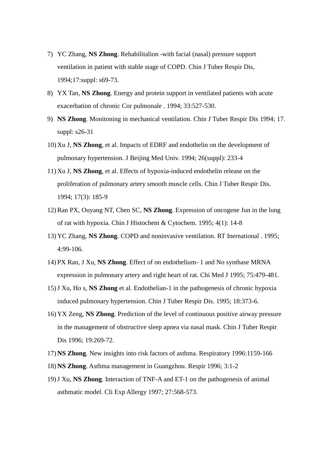- 7) YC Zhang, **NS Zhong**. Rehabilitalion -with facial (nasal) pressure support ventilation in patient with stable stage of COPD. Chin J Tuber Respir Dis, 1994;17:suppl: s69-73.
- 8) YX Tan, **NS Zhong**. Energy and protein support in ventilated patients with acute exacerbation of chronic Cor pulmonale . 1994; 33:527-530.
- 9) **NS Zhong**. Monitoning in mechanical ventilation. Chin J Tuber Respir Dis 1994; 17. suppl: s26-31
- 10) Xu J, **NS Zhong**, et al. Impacts of EDRF and endothelin on the development of pulmonary hypertension. J Beijing Med Univ. 1994; 26(suppl): 233-4
- 11) Xu J, **NS Zhong**, et al. Effects of hypoxia-induced endothelin release on the proliferation of pulmonary artery smooth muscle cells. Chin J Tuber Respir Dis. 1994; 17(3): 185-9
- 12)Ran PX, Ouyang NT, Chen SC, **NS Zhong**. Expression of oncogene Jun in the lung of rat with hypoxia. Chin J Histochem & Cytochem. 1995; 4(1): 14-8
- 13) YC Zhang, **NS Zhong**. COPD and noninvasive ventilation. RT Inernational . 1995; 4:99-106.
- 14) PX Ran, J Xu, **NS Zhong**. Effect of on endothelium- 1 and No synthase MRNA expression in pulmonary artery and right heart of rat. Chi Med J 1995; 75:479-481.
- 15)J Xu, Ho s, **NS Zhong** et al. Endothelian-1 in the pathogenesis of chronic hypoxia induced pulmonary hypertension. Chin J Tuber Respir Dis. 1995; 18:373-6.
- 16) YX Zeng, **NS Zhong**. Prediction of the level of continuous positive airway pressure in the management of obstructive sleep apnea via nasal mask. Chin J Tuber Respir Dis 1996; 19:269-72.
- 17) **NS Zhong**. New insights into risk factors of asthma. Respiratory 1996:1159-166
- 18) **NS Zhong**. Asthma management in Guangzhou. Respir 1996; 3:1-2
- 19)J Xu, **NS Zhong**. Interaction of TNF-A and ET-1 on the pathogenesis of animal asthmatic model. Cli Exp Allergy 1997; 27:568-573.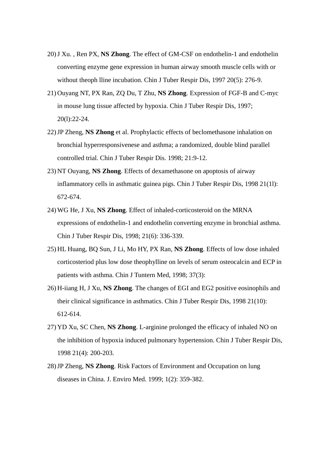- 20)J Xu. , Ren PX, **NS Zhong**. The effect of GM-CSF on endothelin-1 and endothelin converting enzyme gene expression in human airway smooth muscle cells with or without theoph Iline incubation. Chin J Tuber Respir Dis, 1997 20(5): 276-9.
- 21) Ouyang NT, PX Ran, ZQ Du, T Zhu, **NS Zhong**. Expression of FGF-B and C-myc in mouse lung tissue affected by hypoxia. Chin J Tuber Respir Dis, 1997; 20(l):22-24.
- 22)JP Zheng, **NS Zhong** et al. Prophylactic effects of beclomethasone inhalation on bronchial hyperresponsivenese and asthma; a randomized, double blind parallel controlled trial. Chin J Tuber Respir Dis. 1998; 21:9-12.
- 23) NT Ouyang, **NS Zhong**. Effects of dexamethasone on apoptosis of airway inflammatory cells in asthmatic guinea pigs. Chin J Tuber Respir Dis, 1998 21(1l): 672-674.
- 24) WG He, J Xu, **NS Zhong**. Effect of inhaled-corticosteroid on the MRNA expressions of endothelin-1 and endothelin converting enzyme in bronchial asthma. Chin J Tuber Respir Dis, 1998; 21(6): 336-339.
- 25) HL Huang, BQ Sun, J Li, Mo HY, PX Ran, **NS Zhong**. Effects of low dose inhaled corticosteriod plus low dose theophylline on levels of serum osteocalcin and ECP in patients with asthma. Chin J Tuntern Med, 1998; 37(3):
- 26) H-iiang H, J Xu, **NS Zhong**. The changes of EGI and EG2 positive eosinophils and their clinical significance in asthmatics. Chin J Tuber Respir Dis, 1998 21(10): 612-614.
- 27) YD Xu, SC Chen, **NS Zhong**. L-arginine prolonged the efficacy of inhaled NO on the inhibition of hypoxia induced pulmonary hypertension. Chin J Tuber Respir Dis, 1998 21(4): 200-203.
- 28)JP Zheng, **NS Zhong**. Risk Factors of Environment and Occupation on lung diseases in China. J. Enviro Med. 1999; 1(2): 359-382.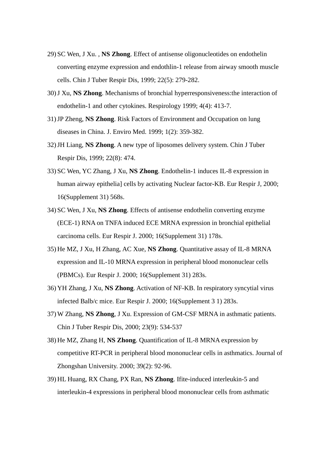- 29) SC Wen, J Xu. , **NS Zhong**. Effect of antisense oligonucleotides on endothelin converting enzyme expression and endothlin-1 release from airway smooth muscle cells. Chin J Tuber Respir Dis, 1999; 22(5): 279-282.
- 30)J Xu, **NS Zhong**. Mechanisms of bronchial hyperresponsiveness:the interaction of endothelin-1 and other cytokines. Respirology 1999; 4(4): 413-7.
- 31)JP Zheng, **NS Zhong**. Risk Factors of Environment and Occupation on lung diseases in China. J. Enviro Med. 1999; 1(2): 359-382.
- 32)JH Liang, **NS Zhong**. A new type of liposomes delivery system. Chin J Tuber Respir Dis, 1999; 22(8): 474.
- 33) SC Wen, YC Zhang, J Xu, **NS Zhong**. Endothelin-1 induces IL-8 expression in human airway epithelia] cells by activating Nuclear factor-KB. Eur Respir J, 2000; 16(Supplement 31) 568s.
- 34) SC Wen, J Xu, **NS Zhong**. Effects of antisense endothelin converting enzyme (ECE-1) RNA on TNFA induced ECE MRNA expression in bronchial epithelial carcinoma cells. Eur Respir J. 2000; 16(Supplement 31) 178s.
- 35) He MZ, J Xu, H Zhang, AC Xue, **NS Zhong**. Quantitative assay of IL-8 MRNA expression and IL-10 MRNA expression in peripheral blood mononuclear cells (PBMCs). Eur Respir J. 2000; 16(Supplement 31) 283s.
- 36) YH Zhang, J Xu, **NS Zhong**. Activation of NF-KB. In respiratory syncytial virus infected Balb/c mice. Eur Respir J. 2000; 16(Supplement 3 1) 283s.
- 37) W Zhang, **NS Zhong**, J Xu. Expression of GM-CSF MRNA in asthmatic patients. Chin J Tuber Respir Dis, 2000; 23(9): 534-537
- 38) He MZ, Zhang H, **NS Zhong**. Quantification of IL-8 MRNA expression by competitive RT-PCR in peripheral blood mononuclear cells in asthmatics. Journal of Zhongshan University. 2000; 39(2): 92-96.
- 39) HL Huang, RX Chang, PX Ran, **NS Zhong**. Ifite-induced interleukin-5 and interleukin-4 expressions in peripheral blood mononuclear cells from asthmatic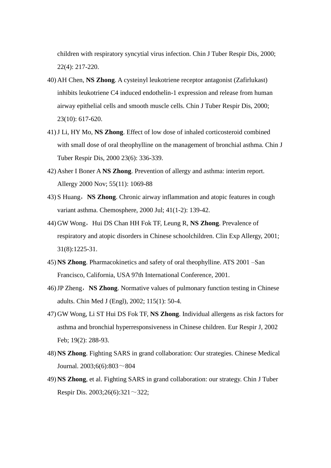children with respiratory syncytial virus infection. Chin J Tuber Respir Dis, 2000; 22(4): 217-220.

- 40) AH Chen, **NS Zhong**. A cysteinyl leukotriene receptor antagonist (Zafirlukast) inhibits leukotriene C4 induced endothelin-1 expression and release from human airway epithelial cells and smooth muscle cells. Chin J Tuber Respir Dis, 2000; 23(10): 617-620.
- 41)J Li, HY Mo, **NS Zhong**. Effect of low dose of inhaled corticosteroid combined with small dose of oral theophylline on the management of bronchial asthma. Chin J Tuber Respir Dis, 2000 23(6): 336-339.
- 42) Asher I Boner A **NS Zhong**. Prevention of allergy and asthma: interim report. Allergy 2000 Nov; 55(11): 1069-88
- 43) S Huang,**NS Zhong**. Chronic airway inflammation and atopic features in cough variant asthma. Chemosphere, 2000 Jul; 41(1-2): 139-42.
- 44) GW Wong, Hui DS Chan HH Fok TF, Leung R, **NS Zhong**. Prevalence of respiratory and atopic disorders in Chinese schoolchildren. Clin Exp Allergy, 2001; 31(8):1225-31.
- 45) **NS Zhong**. Pharmacokinetics and safety of oral theophylline. ATS 2001 –San Francisco, California, USA 97th International Conference, 2001.
- 46)JP Zheng,**NS Zhong**. Normative values of pulmonary function testing in Chinese adults. Chin Med J (Engl), 2002; 115(1): 50-4.
- 47) GW Wong, Li ST Hui DS Fok TF, **NS Zhong**. Individual allergens as risk factors for asthma and bronchial hyperresponsiveness in Chinese children. Eur Respir J, 2002 Feb; 19(2): 288-93.
- 48) **NS Zhong**. Fighting SARS in grand collaboration: Our strategies. Chinese Medical Journal. 2003;6(6):803~804
- 49) **NS Zhong**, et al. Fighting SARS in grand collaboration: our strategy. Chin J Tuber Respir Dis. 2003;26(6):321 $\sim$ 322;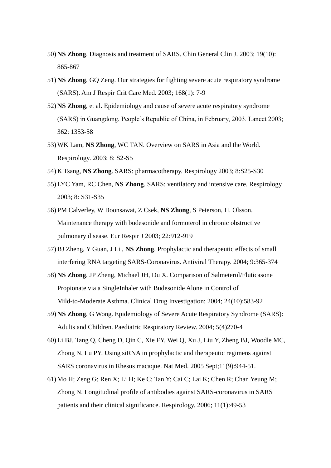- 50) **NS Zhong**. Diagnosis and treatment of SARS. Chin General Clin J. 2003; 19(10): 865-867
- 51) **NS Zhong**, GQ Zeng. Our strategies for fighting severe acute respiratory syndrome (SARS). Am J Respir Crit Care Med. 2003; 168(1): 7-9
- 52) **NS Zhong**, et al. Epidemiology and cause of severe acute respiratory syndrome (SARS) in Guangdong, People's Republic of China, in February, 2003. Lancet 2003; 362: 1353-58
- 53) WK Lam, **NS Zhong**, WC TAN. Overview on SARS in Asia and the World. Respirology. 2003; 8: S2-S5
- 54) K Tsang, **NS Zhong**. SARS: pharmacotherapy. Respirology 2003; 8:S25-S30
- 55) LYC Yam, RC Chen, **NS Zhong**. SARS: ventilatory and intensive care. Respirology 2003; 8: S31-S35
- 56) PM Calverley, W Boonsawat, Z Csek, **NS Zhong**, S Peterson, H. Olsson. Maintenance therapy with budesonide and formoterol in chronic obstructive pulmonary disease. Eur Respir J 2003; 22:912-919
- 57)BJ Zheng, Y Guan, J Li , **NS Zhong**. Prophylactic and therapeutic effects of small interfering RNA targeting SARS-Coronavirus. Antiviral Therapy. 2004; 9:365-374
- 58) **NS Zhong**, JP Zheng, Michael JH, Du X. Comparison of Salmeterol/Fluticasone Propionate via a SingleInhaler with Budesonide Alone in Control of Mild-to-Moderate Asthma. Clinical Drug Investigation; 2004; 24(10):583-92
- 59) **NS Zhong**, G Wong. Epidemiology of Severe Acute Respiratory Syndrome (SARS): Adults and Children. Paediatric Respiratory Review. 2004; 5(4)270-4
- 60) Li BJ, Tang Q, Cheng D, Qin C, Xie FY, Wei Q, Xu J, Liu Y, Zheng BJ, Woodle MC, Zhong N, Lu PY. Using siRNA in prophylactic and therapeutic regimens against SARS coronavirus in Rhesus macaque. Nat Med. 2005 Sept;11(9):944-51.
- 61) Mo H; Zeng G; Ren X; Li H; Ke C; Tan Y; Cai C; Lai K; Chen R; Chan Yeung M; Zhong N. Longitudinal profile of antibodies against SARS-coronavirus in SARS patients and their clinical significance. Respirology. 2006; 11(1):49-53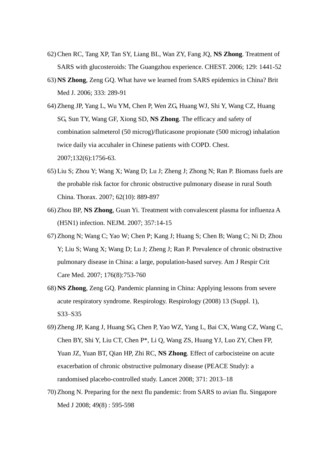- 62)Chen RC, Tang XP, Tan SY, Liang BL, Wan ZY, Fang JQ, **NS Zhong**. Treatment of SARS with glucosteroids: The Guangzhou experience. CHEST. 2006; 129: 1441-52
- 63) **NS Zhong**, Zeng GQ. What have we learned from SARS epidemics in China? Brit Med J. 2006; 333: 289-91
- 64) Zheng JP, Yang L, Wu YM, Chen P, Wen ZG, Huang WJ, Shi Y, Wang CZ, Huang SG, Sun TY, Wang GF, Xiong SD, **NS Zhong**. The efficacy and safety of combination salmeterol (50 microg)/fluticasone propionate (500 microg) inhalation twice daily via accuhaler in Chinese patients with COPD. Chest. 2007;132(6):1756-63.
- 65) Liu S; Zhou Y; Wang X; Wang D; Lu J; Zheng J; Zhong N; Ran P. Biomass fuels are the probable risk factor for chronic obstructive pulmonary disease in rural South China. Thorax. 2007; 62(10): 889-897
- 66) Zhou BP, **NS Zhong**, Guan Yi. Treatment with convalescent plasma for influenza A (H5N1) infection. NEJM. 2007; 357:14-15
- 67) Zhong N; Wang C; Yao W; Chen P; Kang J; Huang S; Chen B; Wang C; Ni D; Zhou Y; Liu S; Wang X; Wang D; Lu J; Zheng J; Ran P. Prevalence of chronic obstructive pulmonary disease in China: a large, population-based survey. Am J Respir Crit Care Med. 2007; 176(8):753-760
- 68) **NS Zhong**, Zeng GQ. Pandemic planning in China: Applying lessons from severe acute respiratory syndrome. Respirology. Respirology (2008) 13 (Suppl. 1), S33–S35
- 69) Zheng JP, Kang J, Huang SG, Chen P, Yao WZ, Yang L, Bai CX, Wang CZ, Wang C, Chen BY, Shi Y, Liu CT, Chen P\*, Li Q, Wang ZS, Huang YJ, Luo ZY, Chen FP, Yuan JZ, Yuan BT, Qian HP, Zhi RC, **NS Zhong**. Effect of carbocisteine on acute exacerbation of chronic obstructive pulmonary disease (PEACE Study): a randomised placebo-controlled study. Lancet 2008; 371: 2013–18
- 70) Zhong N. Preparing for the next flu pandemic: from SARS to avian flu. Singapore Med J 2008: 49(8): 595-598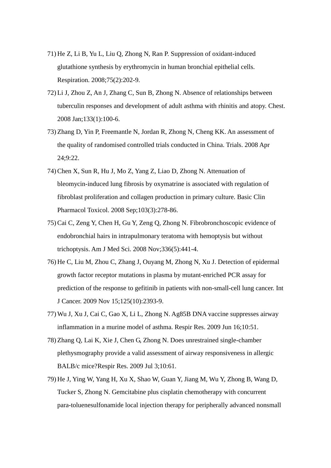- 71) He Z, Li B, Yu L, Liu Q, Zhong N, Ran P. Suppression of oxidant-induced glutathione synthesis by erythromycin in human bronchial epithelial cells. Respiration. 2008;75(2):202-9.
- 72) Li J, Zhou Z, An J, Zhang C, Sun B, Zhong N. Absence of relationships between tuberculin responses and development of adult asthma with rhinitis and atopy. Chest. 2008 Jan;133(1):100-6.
- 73) Zhang D, Yin P, Freemantle N, Jordan R, Zhong N, Cheng KK. An assessment of the quality of randomised controlled trials conducted in China. Trials. 2008 Apr 24;9:22.
- 74)Chen X, Sun R, Hu J, Mo Z, Yang Z, Liao D, Zhong N. Attenuation of bleomycin-induced lung fibrosis by oxymatrine is associated with regulation of fibroblast proliferation and collagen production in primary culture. Basic Clin Pharmacol Toxicol. 2008 Sep;103(3):278-86.
- 75)Cai C, Zeng Y, Chen H, Gu Y, Zeng Q, Zhong N. Fibrobronchoscopic evidence of endobronchial hairs in intrapulmonary teratoma with hemoptysis but without trichoptysis. Am J Med Sci. 2008 Nov;336(5):441-4.
- 76) He C, Liu M, Zhou C, Zhang J, Ouyang M, Zhong N, Xu J. Detection of epidermal growth factor receptor mutations in plasma by mutant-enriched PCR assay for prediction of the response to gefitinib in patients with non-small-cell lung cancer. Int J Cancer. 2009 Nov 15;125(10):2393-9.
- 77) Wu J, Xu J, Cai C, Gao X, Li L, Zhong N. Ag85B DNA vaccine suppresses airway inflammation in a murine model of asthma. Respir Res. 2009 Jun 16;10:51.
- 78) Zhang Q, Lai K, Xie J, Chen G, Zhong N. Does unrestrained single-chamber plethysmography provide a valid assessment of airway responsiveness in allergic BALB/c mice?Respir Res. 2009 Jul 3;10:61.
- 79) He J, Ying W, Yang H, Xu X, Shao W, Guan Y, Jiang M, Wu Y, Zhong B, Wang D, Tucker S, Zhong N. Gemcitabine plus cisplatin chemotherapy with concurrent para-toluenesulfonamide local injection therapy for peripherally advanced nonsmall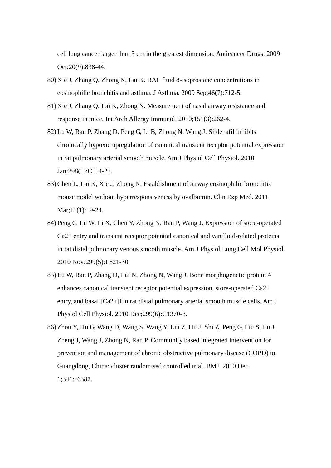cell lung cancer larger than 3 cm in the greatest dimension. Anticancer Drugs. 2009 Oct;20(9):838-44.

- 80) Xie J, Zhang Q, Zhong N, Lai K. BAL fluid 8-isoprostane concentrations in eosinophilic bronchitis and asthma. J Asthma. 2009 Sep;46(7):712-5.
- 81) Xie J, Zhang Q, Lai K, Zhong N. Measurement of nasal airway resistance and response in mice. Int Arch Allergy Immunol. 2010;151(3):262-4.
- 82) Lu W, Ran P, Zhang D, Peng G, Li B, Zhong N, Wang J. Sildenafil inhibits chronically hypoxic upregulation of canonical transient receptor potential expression in rat pulmonary arterial smooth muscle. Am J Physiol Cell Physiol. 2010 Jan;298(1):C114-23.
- 83)Chen L, Lai K, Xie J, Zhong N. Establishment of airway eosinophilic bronchitis mouse model without hyperresponsiveness by ovalbumin. Clin Exp Med. 2011 Mar;11(1):19-24.
- 84) Peng G, Lu W, Li X, Chen Y, Zhong N, Ran P, Wang J. Expression of store-operated Ca2+ entry and transient receptor potential canonical and vanilloid-related proteins in rat distal pulmonary venous smooth muscle. Am J Physiol Lung Cell Mol Physiol. 2010 Nov;299(5):L621-30.
- 85) Lu W, Ran P, Zhang D, Lai N, Zhong N, Wang J. Bone morphogenetic protein 4 enhances canonical transient receptor potential expression, store-operated Ca2+ entry, and basal [Ca2+]i in rat distal pulmonary arterial smooth muscle cells. Am J Physiol Cell Physiol. 2010 Dec;299(6):C1370-8.
- 86) Zhou Y, Hu G, Wang D, Wang S, Wang Y, Liu Z, Hu J, Shi Z, Peng G, Liu S, Lu J, Zheng J, Wang J, Zhong N, Ran P. Community based integrated intervention for prevention and management of chronic obstructive pulmonary disease (COPD) in Guangdong, China: cluster randomised controlled trial. BMJ. 2010 Dec 1;341:c6387.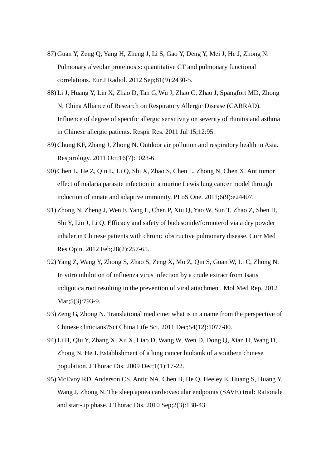- 87) Guan Y, Zeng Q, Yang H, Zheng J, Li S, Gao Y, Deng Y, Mei J, He J, Zhong N. Pulmonary alveolar proteinosis: quantitative CT and pulmonary functional correlations. Eur J Radiol. 2012 Sep;81(9):2430-5.
- 88) Li J, Huang Y, Lin X, Zhao D, Tan G, Wu J, Zhao C, Zhao J, Spangfort MD, Zhong N; China Alliance of Research on Respiratory Allergic Disease (CARRAD). Influence of degree of specific allergic sensitivity on severity of rhinitis and asthma in Chinese allergic patients. Respir Res. 2011 Jul 15;12:95.
- 89)Chung KF, Zhang J, Zhong N. Outdoor air pollution and respiratory health in Asia. Respirology. 2011 Oct;16(7):1023-6.
- 90)Chen L, He Z, Qin L, Li Q, Shi X, Zhao S, Chen L, Zhong N, Chen X. Antitumor effect of malaria parasite infection in a murine Lewis lung cancer model through induction of innate and adaptive immunity. PLoS One. 2011;6(9):e24407.
- 91) Zhong N, Zheng J, Wen F, Yang L, Chen P, Xiu Q, Yao W, Sun T, Zhao Z, Shen H, Shi Y, Lin J, Li Q. Efficacy and safety of budesonide/formoterol via a dry powder inhaler in Chinese patients with chronic obstructive pulmonary disease. Curr Med Res Opin. 2012 Feb;28(2):257-65.
- 92) Yang Z, Wang Y, Zhong S, Zhao S, Zeng X, Mo Z, Qin S, Guan W, Li C, Zhong N. In vitro inhibition of influenza virus infection by a crude extract from Isatis indigotica root resulting in the prevention of viral attachment. Mol Med Rep. 2012 Mar; 5(3): 793-9.
- 93) Zeng G, Zhong N. Translational medicine: what is in a name from the perspective of Chinese clinicians?Sci China Life Sci. 2011 Dec;54(12):1077-80.
- 94) Li H, Qiu Y, Zhang X, Xu X, Liao D, Wang W, Wen D, Dong Q, Xian H, Wang D, Zhong N, He J. Establishment of a lung cancer biobank of a southern chinese population. J Thorac Dis. 2009 Dec;1(1):17-22.
- 95) McEvoy RD, Anderson CS, Antic NA, Chen B, He Q, Heeley E, Huang S, Huang Y, Wang J, Zhong N. The sleep apnea cardiovascular endpoints (SAVE) trial: Rationale and start-up phase. J Thorac Dis. 2010 Sep;2(3):138-43.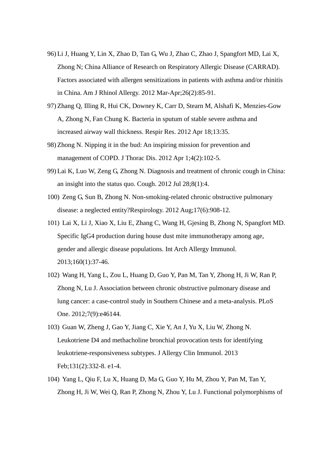- 96) Li J, Huang Y, Lin X, Zhao D, Tan G, Wu J, Zhao C, Zhao J, Spangfort MD, Lai X, Zhong N; China Alliance of Research on Respiratory Allergic Disease (CARRAD). Factors associated with allergen sensitizations in patients with asthma and/or rhinitis in China. Am J Rhinol Allergy. 2012 Mar-Apr;26(2):85-91.
- 97) Zhang Q, Illing R, Hui CK, Downey K, Carr D, Stearn M, Alshafi K, Menzies-Gow A, Zhong N, Fan Chung K. Bacteria in sputum of stable severe asthma and increased airway wall thickness. Respir Res. 2012 Apr 18;13:35.
- 98) Zhong N. Nipping it in the bud: An inspiring mission for prevention and management of COPD. J Thorac Dis. 2012 Apr 1;4(2):102-5.
- 99) Lai K, Luo W, Zeng G, Zhong N. Diagnosis and treatment of chronic cough in China: an insight into the status quo. Cough. 2012 Jul 28;8(1):4.
- 100) Zeng G, Sun B, Zhong N. Non-smoking-related chronic obstructive pulmonary disease: a neglected entity?Respirology. 2012 Aug;17(6):908-12.
- 101) Lai X, Li J, Xiao X, Liu E, Zhang C, Wang H, Gjesing B, Zhong N, Spangfort MD. Specific IgG4 production during house dust mite immunotherapy among age, gender and allergic disease populations. Int Arch Allergy Immunol. 2013;160(1):37-46.
- 102) Wang H, Yang L, Zou L, Huang D, Guo Y, Pan M, Tan Y, Zhong H, Ji W, Ran P, Zhong N, Lu J. Association between chronic obstructive pulmonary disease and lung cancer: a case-control study in Southern Chinese and a meta-analysis. PLoS One. 2012;7(9):e46144.
- 103) Guan W, Zheng J, Gao Y, Jiang C, Xie Y, An J, Yu X, Liu W, Zhong N. Leukotriene D4 and methacholine bronchial provocation tests for identifying leukotriene-responsiveness subtypes. J Allergy Clin Immunol. 2013 Feb;131(2):332-8. e1-4.
- 104) Yang L, Qiu F, Lu X, Huang D, Ma G, Guo Y, Hu M, Zhou Y, Pan M, Tan Y, Zhong H, Ji W, Wei Q, Ran P, Zhong N, Zhou Y, Lu J. Functional polymorphisms of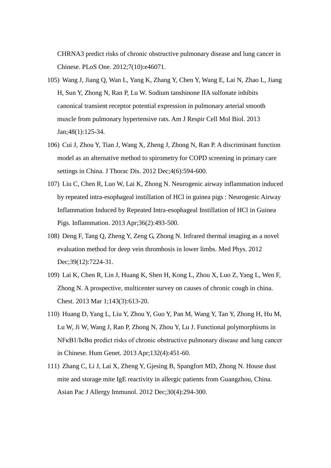CHRNA3 predict risks of chronic obstructive pulmonary disease and lung cancer in Chinese. PLoS One. 2012;7(10):e46071.

- 105) Wang J, Jiang Q, Wan L, Yang K, Zhang Y, Chen Y, Wang E, Lai N, Zhao L, Jiang H, Sun Y, Zhong N, Ran P, Lu W. Sodium tanshinone IIA sulfonate inhibits canonical transient receptor potential expression in pulmonary arterial smooth muscle from pulmonary hypertensive rats. Am J Respir Cell Mol Biol. 2013 Jan;48(1):125-34.
- 106) Cui J, Zhou Y, Tian J, Wang X, Zheng J, Zhong N, Ran P. A discriminant function model as an alternative method to spirometry for COPD screening in primary care settings in China. J Thorac Dis. 2012 Dec;4(6):594-600.
- 107) Liu C, Chen R, Luo W, Lai K, Zhong N. Neurogenic airway inflammation induced by repeated intra-esophageal instillation of HCl in guinea pigs : Neurogenic Airway Inflammation Induced by Repeated Intra-esophageal Instillation of HCl in Guinea Pigs. Inflammation. 2013 Apr;36(2):493-500.
- 108) Deng F, Tang Q, Zheng Y, Zeng G, Zhong N. Infrared thermal imaging as a novel evaluation method for deep vein thrombosis in lower limbs. Med Phys. 2012 Dec;39(12):7224-31.
- 109) Lai K, Chen R, Lin J, Huang K, Shen H, Kong L, Zhou X, Luo Z, Yang L, Wen F, Zhong N. A prospective, multicenter survey on causes of chronic cough in china. Chest. 2013 Mar 1;143(3):613-20.
- 110) Huang D, Yang L, Liu Y, Zhou Y, Guo Y, Pan M, Wang Y, Tan Y, Zhong H, Hu M, Lu W, Ji W, Wang J, Ran P, Zhong N, Zhou Y, Lu J. Functional polymorphisms in NFκB1/IκBα predict risks of chronic obstructive pulmonary disease and lung cancer in Chinese. Hum Genet. 2013 Apr;132(4):451-60.
- 111) Zhang C, Li J, Lai X, Zheng Y, Gjesing B, Spangfort MD, Zhong N. House dust mite and storage mite IgE reactivity in allergic patients from Guangzhou, China. Asian Pac J Allergy Immunol. 2012 Dec;30(4):294-300.